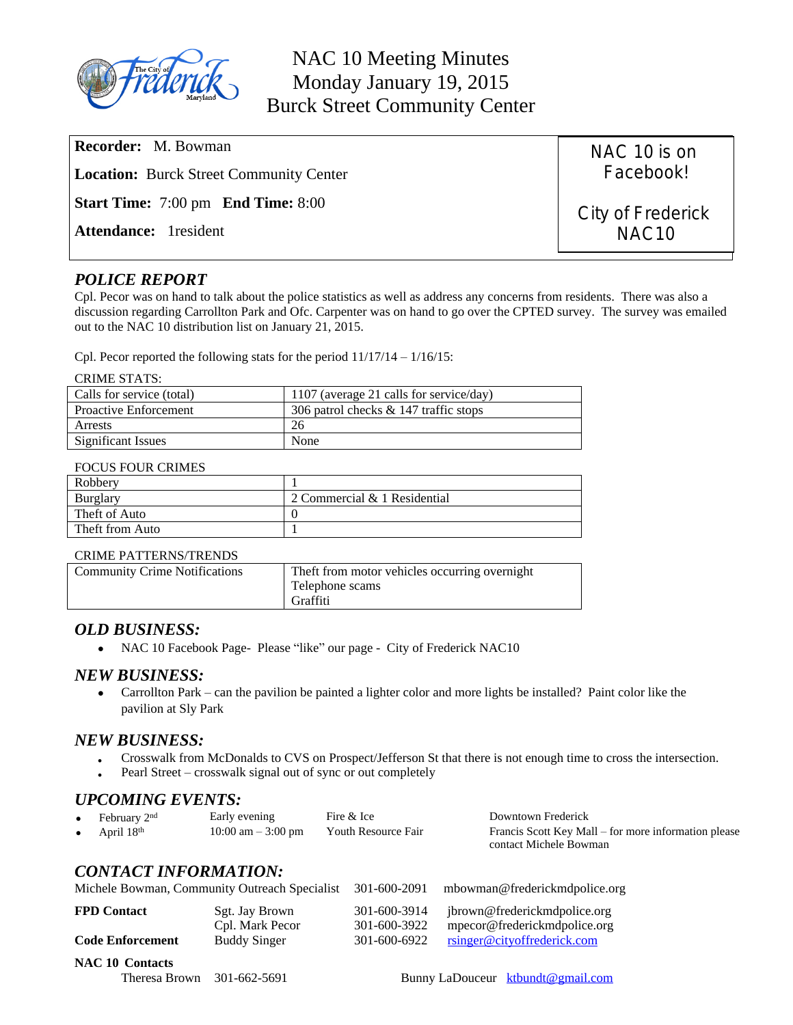

| <b>Recorder:</b> M. Bowman                       | NAC 10 is on                           |
|--------------------------------------------------|----------------------------------------|
| <b>Location:</b> Burck Street Community Center   | Facebook!                              |
| <b>Start Time:</b> 7:00 pm <b>End Time:</b> 8:00 | City of Frederick<br>NAC <sub>10</sub> |
| <b>Attendance:</b> 1 resident                    |                                        |

# *POLICE REPORT*

Cpl. Pecor was on hand to talk about the police statistics as well as address any concerns from residents. There was also a discussion regarding Carrollton Park and Ofc. Carpenter was on hand to go over the CPTED survey. The survey was emailed out to the NAC 10 distribution list on January 21, 2015.

Cpl. Pecor reported the following stats for the period 11/17/14 – 1/16/15:

#### CRIME STATS:

| Calls for service (total)    | 1107 (average 21 calls for service/day) |
|------------------------------|-----------------------------------------|
| <b>Proactive Enforcement</b> | 306 patrol checks & 147 traffic stops   |
| Arrests                      | -26                                     |
| Significant Issues           | None                                    |

#### FOCUS FOUR CRIMES

| Robberv         |                              |
|-----------------|------------------------------|
| Burglary        | 2 Commercial & 1 Residential |
| Theft of Auto   |                              |
| Theft from Auto |                              |

#### CRIME PATTERNS/TRENDS

| <b>Community Crime Notifications</b> | Theft from motor vehicles occurring overnight<br>Telephone scams<br>Graffiti |
|--------------------------------------|------------------------------------------------------------------------------|
|--------------------------------------|------------------------------------------------------------------------------|

### *OLD BUSINESS:*

• NAC 10 Facebook Page- Please "like" our page - City of Frederick NAC10

### *NEW BUSINESS:*

 Carrollton Park – can the pavilion be painted a lighter color and more lights be installed? Paint color like the pavilion at Sly Park

### *NEW BUSINESS:*

- Crosswalk from McDonalds to CVS on Prospect/Jefferson St that there is not enough time to cross the intersection.
- Pearl Street crosswalk signal out of sync or out completely

## *UPCOMING EVENTS:*

| February 2 <sup>nd</sup> | Early evening                                            | Fire & Ice | Downtown Frederick                                   |
|--------------------------|----------------------------------------------------------|------------|------------------------------------------------------|
| April $18th$             | $10:00 \text{ am} - 3:00 \text{ pm}$ Youth Resource Fair |            | Francis Scott Key Mall – for more information please |
|                          |                                                          |            | contact Michele Bowman                               |

## *CONTACT INFORMATION:*

| Michele Bowman, Community Outreach Specialist |                                   | 301-600-2091                 | mbowman@frederickmdpolice.org                                |
|-----------------------------------------------|-----------------------------------|------------------------------|--------------------------------------------------------------|
| <b>FPD Contact</b>                            | Sgt. Jay Brown<br>Cpl. Mark Pecor | 301-600-3914<br>301-600-3922 | jbrown@frederickmdpolice.org<br>mpecor@frederickmdpolice.org |
| <b>Code Enforcement</b>                       | <b>Buddy Singer</b>               | 301-600-6922                 | <u>rsinger@cityoffrederick.com</u>                           |

### **NAC 10 Contacts**

Theresa Brown 301-662-5691 Bunny LaDouceur [ktbundt@gmail.com](mailto:ktbundt@gmail.com)